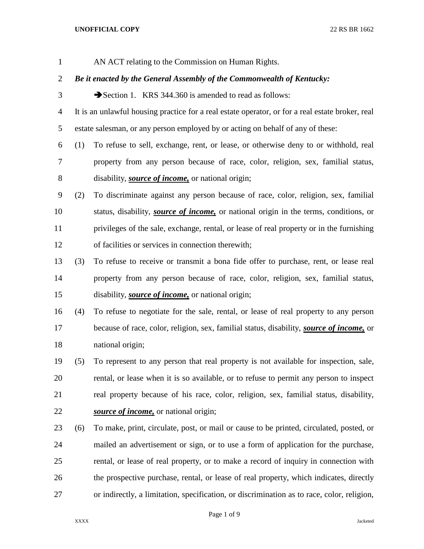| $\mathbf{1}$   |     | AN ACT relating to the Commission on Human Rights.                                               |  |  |
|----------------|-----|--------------------------------------------------------------------------------------------------|--|--|
| $\overline{2}$ |     | Be it enacted by the General Assembly of the Commonwealth of Kentucky:                           |  |  |
| 3              |     | Section 1. KRS 344.360 is amended to read as follows:                                            |  |  |
| 4              |     | It is an unlawful housing practice for a real estate operator, or for a real estate broker, real |  |  |
| 5              |     | estate salesman, or any person employed by or acting on behalf of any of these:                  |  |  |
| 6              | (1) | To refuse to sell, exchange, rent, or lease, or otherwise deny to or withhold, real              |  |  |
| 7              |     | property from any person because of race, color, religion, sex, familial status,                 |  |  |
| 8              |     | disability, <i>source of income</i> , or national origin;                                        |  |  |
| 9              | (2) | To discriminate against any person because of race, color, religion, sex, familial               |  |  |
| 10             |     | status, disability, <i>source of income</i> , or national origin in the terms, conditions, or    |  |  |
| 11             |     | privileges of the sale, exchange, rental, or lease of real property or in the furnishing         |  |  |
| 12             |     | of facilities or services in connection therewith;                                               |  |  |
| 13             | (3) | To refuse to receive or transmit a bona fide offer to purchase, rent, or lease real              |  |  |
| 14             |     | property from any person because of race, color, religion, sex, familial status,                 |  |  |
| 15             |     | disability, <i>source of income</i> , or national origin;                                        |  |  |
| 16             | (4) | To refuse to negotiate for the sale, rental, or lease of real property to any person             |  |  |
| 17             |     | because of race, color, religion, sex, familial status, disability, <i>source of income</i> , or |  |  |
| 18             |     | national origin;                                                                                 |  |  |
| 19             | (5) | To represent to any person that real property is not available for inspection, sale,             |  |  |
| 20             |     | rental, or lease when it is so available, or to refuse to permit any person to inspect           |  |  |
| 21             |     | real property because of his race, color, religion, sex, familial status, disability,            |  |  |
| 22             |     | source of income, or national origin;                                                            |  |  |
| 23             | (6) | To make, print, circulate, post, or mail or cause to be printed, circulated, posted, or          |  |  |
| 24             |     | mailed an advertisement or sign, or to use a form of application for the purchase,               |  |  |
| 25             |     | rental, or lease of real property, or to make a record of inquiry in connection with             |  |  |
| 26             |     | the prospective purchase, rental, or lease of real property, which indicates, directly           |  |  |
| 27             |     | or indirectly, a limitation, specification, or discrimination as to race, color, religion,       |  |  |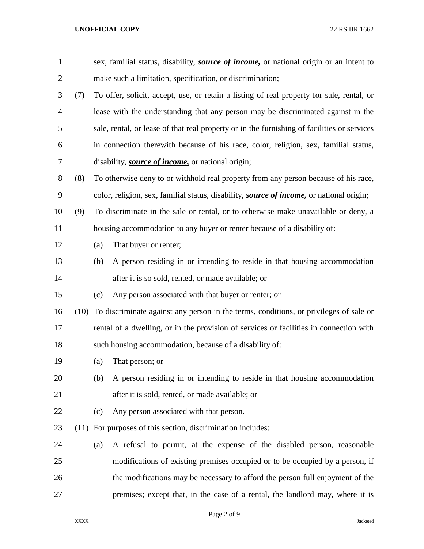| $\mathbf{1}$   |      |     | sex, familial status, disability, <i>source of income</i> , or national origin or an intent to   |
|----------------|------|-----|--------------------------------------------------------------------------------------------------|
| $\overline{c}$ |      |     | make such a limitation, specification, or discrimination;                                        |
| 3              | (7)  |     | To offer, solicit, accept, use, or retain a listing of real property for sale, rental, or        |
| 4              |      |     | lease with the understanding that any person may be discriminated against in the                 |
| 5              |      |     | sale, rental, or lease of that real property or in the furnishing of facilities or services      |
| 6              |      |     | in connection therewith because of his race, color, religion, sex, familial status,              |
| 7              |      |     | disability, <i>source of income</i> , or national origin;                                        |
| 8              | (8)  |     | To otherwise deny to or withhold real property from any person because of his race,              |
| 9              |      |     | color, religion, sex, familial status, disability, <i>source of income</i> , or national origin; |
| 10             | (9)  |     | To discriminate in the sale or rental, or to otherwise make unavailable or deny, a               |
| 11             |      |     | housing accommodation to any buyer or renter because of a disability of:                         |
| 12             |      | (a) | That buyer or renter;                                                                            |
| 13             |      | (b) | A person residing in or intending to reside in that housing accommodation                        |
| 14             |      |     | after it is so sold, rented, or made available; or                                               |
| 15             |      | (c) | Any person associated with that buyer or renter; or                                              |
| 16             |      |     | (10) To discriminate against any person in the terms, conditions, or privileges of sale or       |
| 17             |      |     | rental of a dwelling, or in the provision of services or facilities in connection with           |
| 18             |      |     | such housing accommodation, because of a disability of:                                          |
| 19             |      | (a) | That person; or                                                                                  |
| 20             |      | (b) | A person residing in or intending to reside in that housing accommodation                        |
| 21             |      |     | after it is sold, rented, or made available; or                                                  |
| 22             |      | (c) | Any person associated with that person.                                                          |
| 23             | (11) |     | For purposes of this section, discrimination includes:                                           |
| 24             |      | (a) | A refusal to permit, at the expense of the disabled person, reasonable                           |
| 25             |      |     | modifications of existing premises occupied or to be occupied by a person, if                    |
| 26             |      |     | the modifications may be necessary to afford the person full enjoyment of the                    |
| 27             |      |     | premises; except that, in the case of a rental, the landlord may, where it is                    |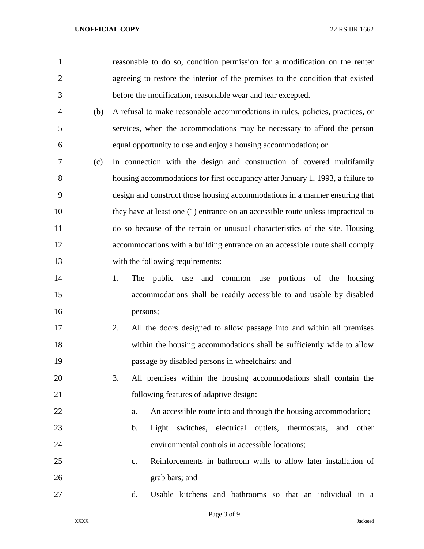| $\mathbf{1}$   |     | reasonable to do so, condition permission for a modification on the renter       |
|----------------|-----|----------------------------------------------------------------------------------|
| $\overline{2}$ |     | agreeing to restore the interior of the premises to the condition that existed   |
| 3              |     | before the modification, reasonable wear and tear excepted.                      |
| $\overline{4}$ | (b) | A refusal to make reasonable accommodations in rules, policies, practices, or    |
| 5              |     | services, when the accommodations may be necessary to afford the person          |
| 6              |     | equal opportunity to use and enjoy a housing accommodation; or                   |
| 7              | (c) | In connection with the design and construction of covered multifamily            |
| 8              |     | housing accommodations for first occupancy after January 1, 1993, a failure to   |
| 9              |     | design and construct those housing accommodations in a manner ensuring that      |
| 10             |     | they have at least one (1) entrance on an accessible route unless impractical to |
| 11             |     | do so because of the terrain or unusual characteristics of the site. Housing     |
| 12             |     | accommodations with a building entrance on an accessible route shall comply      |
| 13             |     | with the following requirements:                                                 |
| 14             |     | 1.<br>public<br>and common use portions of the housing<br>The<br>use             |
| 15             |     | accommodations shall be readily accessible to and usable by disabled             |
| 16             |     | persons;                                                                         |
| 17             |     | All the doors designed to allow passage into and within all premises<br>2.       |
| 18             |     | within the housing accommodations shall be sufficiently wide to allow            |
| 19             |     | passage by disabled persons in wheelchairs; and                                  |
| 20             |     | 3.<br>All premises within the housing accommodations shall contain the           |
| 21             |     | following features of adaptive design:                                           |
| 22             |     | An accessible route into and through the housing accommodation;<br>a.            |
| 23             |     | Light switches, electrical outlets, thermostats,<br>b.<br>and<br>other           |
| 24             |     | environmental controls in accessible locations;                                  |
| 25             |     | Reinforcements in bathroom walls to allow later installation of<br>$C_{\bullet}$ |
| 26             |     | grab bars; and                                                                   |
| 27             |     | Usable kitchens and bathrooms so that an individual in a<br>d.                   |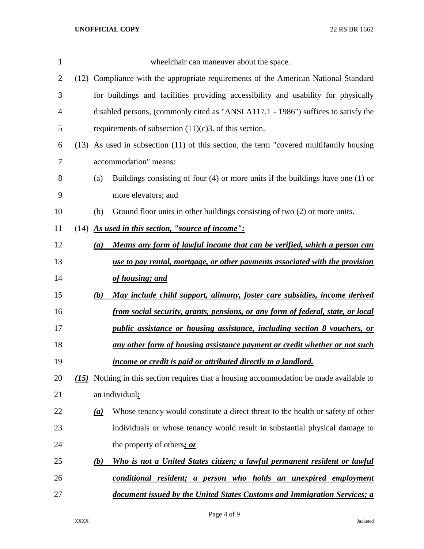| 1              |                  | wheelchair can maneuver about the space.                                                   |
|----------------|------------------|--------------------------------------------------------------------------------------------|
| $\overline{2}$ |                  | (12) Compliance with the appropriate requirements of the American National Standard        |
| 3              |                  | for buildings and facilities providing accessibility and usability for physically          |
| 4              |                  | disabled persons, (commonly cited as "ANSI A117.1 - 1986") suffices to satisfy the         |
| 5              |                  | requirements of subsection $(11)(c)$ 3. of this section.                                   |
| 6              |                  | $(13)$ As used in subsection $(11)$ of this section, the term "covered multifamily housing |
| 7              |                  | accommodation" means:                                                                      |
| 8              | (a)              | Buildings consisting of four $(4)$ or more units if the buildings have one $(1)$ or        |
| 9              |                  | more elevators; and                                                                        |
| 10             | (b)              | Ground floor units in other buildings consisting of two (2) or more units.                 |
| 11             |                  | $(14)$ As used in this section, "source of income":                                        |
| 12             | $\left(a\right)$ | Means any form of lawful income that can be verified, which a person can                   |
| 13             |                  | use to pay rental, mortgage, or other payments associated with the provision               |
| 14             |                  | of housing; and                                                                            |
| 15             | (b)              | May include child support, alimony, foster care subsidies, income derived                  |
| 16             |                  | from social security, grants, pensions, or any form of federal, state, or local            |
| 17             |                  | public assistance or housing assistance, including section 8 vouchers, or                  |
| 18             |                  | any other form of housing assistance payment or credit whether or not such                 |
| 19             |                  | <u>income or credit is paid or attributed directly to a landlord.</u>                      |
| 20             |                  | (15) Nothing in this section requires that a housing accommodation be made available to    |
| 21             |                  | an individual:                                                                             |
| 22             | (a)              | Whose tenancy would constitute a direct threat to the health or safety of other            |
| 23             |                  | individuals or whose tenancy would result in substantial physical damage to                |
| 24             |                  | the property of others; or                                                                 |
| 25             | <u>(b)</u>       | Who is not a United States citizen; a lawful permanent resident or lawful                  |
| 26             |                  | conditional resident; a person who holds an unexpired employment                           |
| 27             |                  | document issued by the United States Customs and Immigration Services; a                   |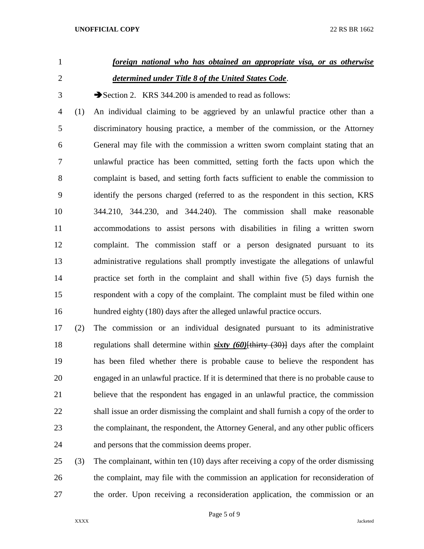# *foreign national who has obtained an appropriate visa, or as otherwise determined under Title 8 of the United States Code*.

3 Section 2. KRS 344.200 is amended to read as follows:

 (1) An individual claiming to be aggrieved by an unlawful practice other than a discriminatory housing practice, a member of the commission, or the Attorney General may file with the commission a written sworn complaint stating that an unlawful practice has been committed, setting forth the facts upon which the complaint is based, and setting forth facts sufficient to enable the commission to identify the persons charged (referred to as the respondent in this section, KRS 344.210, 344.230, and 344.240). The commission shall make reasonable accommodations to assist persons with disabilities in filing a written sworn complaint. The commission staff or a person designated pursuant to its administrative regulations shall promptly investigate the allegations of unlawful practice set forth in the complaint and shall within five (5) days furnish the respondent with a copy of the complaint. The complaint must be filed within one hundred eighty (180) days after the alleged unlawful practice occurs.

 (2) The commission or an individual designated pursuant to its administrative regulations shall determine within *sixty (60)*[thirty (30)] days after the complaint has been filed whether there is probable cause to believe the respondent has engaged in an unlawful practice. If it is determined that there is no probable cause to believe that the respondent has engaged in an unlawful practice, the commission shall issue an order dismissing the complaint and shall furnish a copy of the order to the complainant, the respondent, the Attorney General, and any other public officers and persons that the commission deems proper.

 (3) The complainant, within ten (10) days after receiving a copy of the order dismissing the complaint, may file with the commission an application for reconsideration of the order. Upon receiving a reconsideration application, the commission or an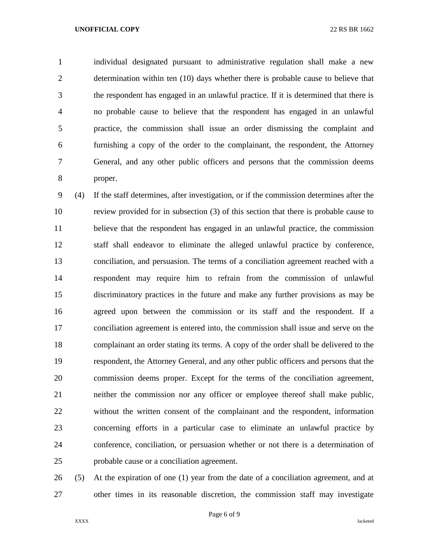individual designated pursuant to administrative regulation shall make a new determination within ten (10) days whether there is probable cause to believe that the respondent has engaged in an unlawful practice. If it is determined that there is no probable cause to believe that the respondent has engaged in an unlawful practice, the commission shall issue an order dismissing the complaint and furnishing a copy of the order to the complainant, the respondent, the Attorney General, and any other public officers and persons that the commission deems proper.

 (4) If the staff determines, after investigation, or if the commission determines after the review provided for in subsection (3) of this section that there is probable cause to believe that the respondent has engaged in an unlawful practice, the commission staff shall endeavor to eliminate the alleged unlawful practice by conference, conciliation, and persuasion. The terms of a conciliation agreement reached with a respondent may require him to refrain from the commission of unlawful discriminatory practices in the future and make any further provisions as may be agreed upon between the commission or its staff and the respondent. If a conciliation agreement is entered into, the commission shall issue and serve on the complainant an order stating its terms. A copy of the order shall be delivered to the respondent, the Attorney General, and any other public officers and persons that the commission deems proper. Except for the terms of the conciliation agreement, neither the commission nor any officer or employee thereof shall make public, without the written consent of the complainant and the respondent, information concerning efforts in a particular case to eliminate an unlawful practice by conference, conciliation, or persuasion whether or not there is a determination of probable cause or a conciliation agreement.

 (5) At the expiration of one (1) year from the date of a conciliation agreement, and at other times in its reasonable discretion, the commission staff may investigate

Page 6 of 9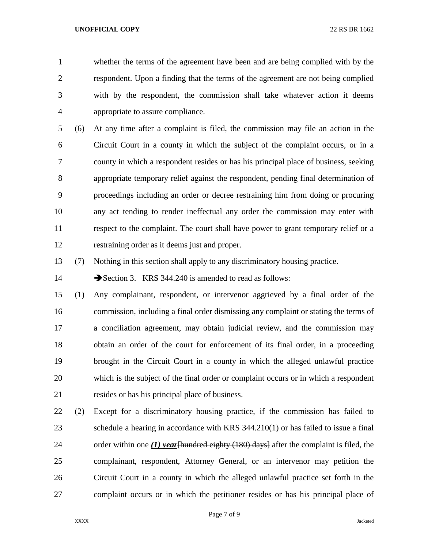whether the terms of the agreement have been and are being complied with by the respondent. Upon a finding that the terms of the agreement are not being complied with by the respondent, the commission shall take whatever action it deems appropriate to assure compliance.

 (6) At any time after a complaint is filed, the commission may file an action in the Circuit Court in a county in which the subject of the complaint occurs, or in a county in which a respondent resides or has his principal place of business, seeking appropriate temporary relief against the respondent, pending final determination of proceedings including an order or decree restraining him from doing or procuring any act tending to render ineffectual any order the commission may enter with respect to the complaint. The court shall have power to grant temporary relief or a restraining order as it deems just and proper.

(7) Nothing in this section shall apply to any discriminatory housing practice.

14 Section 3. KRS 344.240 is amended to read as follows:

 (1) Any complainant, respondent, or intervenor aggrieved by a final order of the commission, including a final order dismissing any complaint or stating the terms of a conciliation agreement, may obtain judicial review, and the commission may obtain an order of the court for enforcement of its final order, in a proceeding brought in the Circuit Court in a county in which the alleged unlawful practice which is the subject of the final order or complaint occurs or in which a respondent resides or has his principal place of business.

 (2) Except for a discriminatory housing practice, if the commission has failed to schedule a hearing in accordance with KRS 344.210(1) or has failed to issue a final order within one *(1) year*[hundred eighty (180) days] after the complaint is filed, the complainant, respondent, Attorney General, or an intervenor may petition the Circuit Court in a county in which the alleged unlawful practice set forth in the complaint occurs or in which the petitioner resides or has his principal place of

Page 7 of 9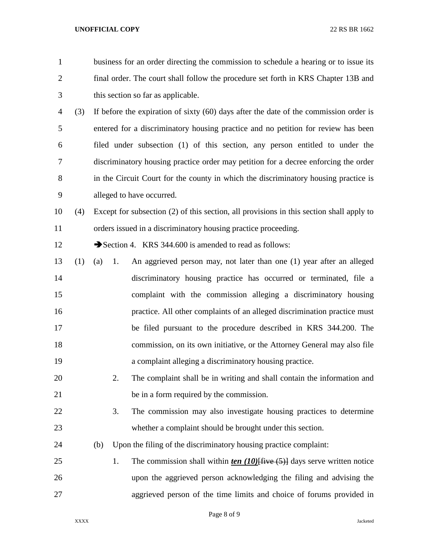| $\mathbf{1}$   |     |           | business for an order directing the commission to schedule a hearing or to issue its     |
|----------------|-----|-----------|------------------------------------------------------------------------------------------|
| 2              |     |           | final order. The court shall follow the procedure set forth in KRS Chapter 13B and       |
| 3              |     |           | this section so far as applicable.                                                       |
| $\overline{4}$ | (3) |           | If before the expiration of sixty $(60)$ days after the date of the commission order is  |
| 5              |     |           | entered for a discriminatory housing practice and no petition for review has been        |
| 6              |     |           | filed under subsection (1) of this section, any person entitled to under the             |
| 7              |     |           | discriminatory housing practice order may petition for a decree enforcing the order      |
| 8              |     |           | in the Circuit Court for the county in which the discriminatory housing practice is      |
| 9              |     |           | alleged to have occurred.                                                                |
| 10             | (4) |           | Except for subsection (2) of this section, all provisions in this section shall apply to |
| 11             |     |           | orders issued in a discriminatory housing practice proceeding.                           |
| 12             |     |           | Section 4. KRS 344.600 is amended to read as follows:                                    |
| 13             | (1) | (a)<br>1. | An aggrieved person may, not later than one (1) year after an alleged                    |
| 14             |     |           | discriminatory housing practice has occurred or terminated, file a                       |
| 15             |     |           | complaint with the commission alleging a discriminatory housing                          |
| 16             |     |           | practice. All other complaints of an alleged discrimination practice must                |
| 17             |     |           | be filed pursuant to the procedure described in KRS 344.200. The                         |
| 18             |     |           | commission, on its own initiative, or the Attorney General may also file                 |
| 19             |     |           | a complaint alleging a discriminatory housing practice.                                  |
| 20             |     | 2.        | The complaint shall be in writing and shall contain the information and                  |
| 21             |     |           | be in a form required by the commission.                                                 |
| 22             |     | 3.        | The commission may also investigate housing practices to determine                       |
| 23             |     |           | whether a complaint should be brought under this section.                                |
| 24             |     | (b)       | Upon the filing of the discriminatory housing practice complaint:                        |
| 25             |     | 1.        | The commission shall within ten $(10)$ five $(5)$ days serve written notice              |
| 26             |     |           | upon the aggrieved person acknowledging the filing and advising the                      |
| 27             |     |           | aggrieved person of the time limits and choice of forums provided in                     |

Page 8 of 9